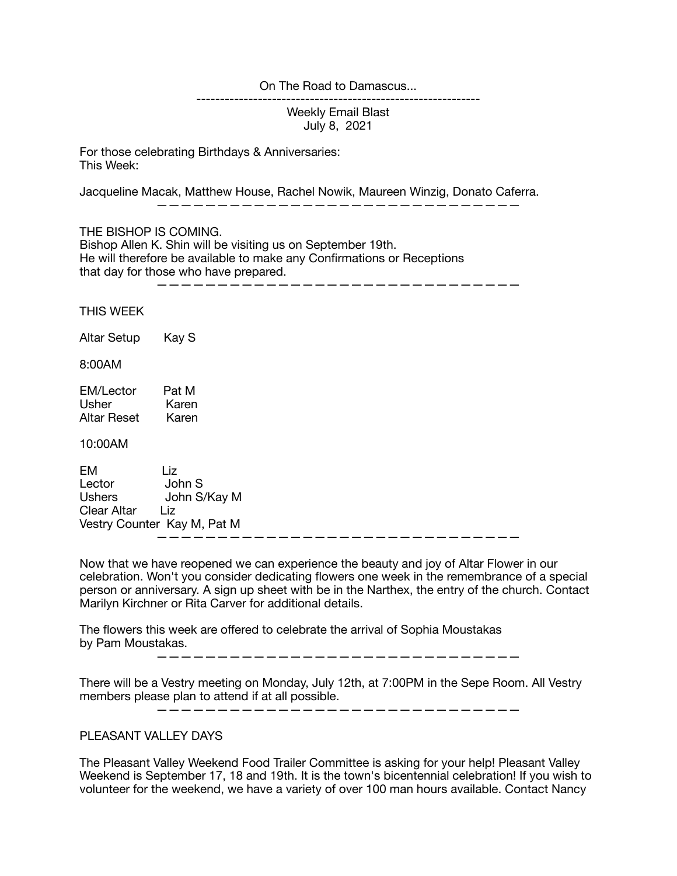## On The Road to Damascus...

Weekly Email Blast July 8, 2021

------------------------------------------------------------

For those celebrating Birthdays & Anniversaries: This Week:

Jacqueline Macak, Matthew House, Rachel Nowik, Maureen Winzig, Donato Caferra.

——————————————————————————————

THE BISHOP IS COMING.

Bishop Allen K. Shin will be visiting us on September 19th. He will therefore be available to make any Confirmations or Receptions that day for those who have prepared.

——————————————————————————————

THIS WEEK

Altar Setup Kay S

8:00AM

EM/Lector Pat M Usher Karen Altar Reset Karen

## 10:00AM

EM Liz Lector John S Ushers John S/Kay M Clear Altar Liz Vestry Counter Kay M, Pat M ——————————————————————————————

Now that we have reopened we can experience the beauty and joy of Altar Flower in our celebration. Won't you consider dedicating flowers one week in the remembrance of a special person or anniversary. A sign up sheet with be in the Narthex, the entry of the church. Contact Marilyn Kirchner or Rita Carver for additional details.

The flowers this week are offered to celebrate the arrival of Sophia Moustakas by Pam Moustakas.

——————————————————————————————

There will be a Vestry meeting on Monday, July 12th, at 7:00PM in the Sepe Room. All Vestry members please plan to attend if at all possible.

——————————————————————————————

## PLEASANT VALLEY DAYS

The Pleasant Valley Weekend Food Trailer Committee is asking for your help! Pleasant Valley Weekend is September 17, 18 and 19th. It is the town's bicentennial celebration! If you wish to volunteer for the weekend, we have a variety of over 100 man hours available. Contact Nancy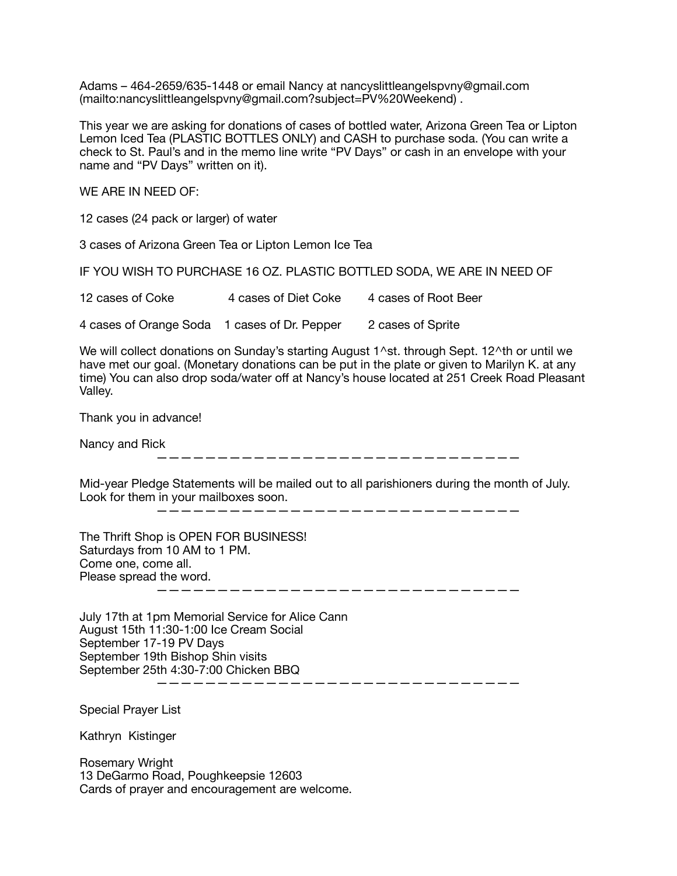Adams – 464-2659/635-1448 or email Nancy at nancyslittleangelspvny@gmail.com (mailto:nancyslittleangelspvny@gmail.com?subject=PV%20Weekend) .

This year we are asking for donations of cases of bottled water, Arizona Green Tea or Lipton Lemon Iced Tea (PLASTIC BOTTLES ONLY) and CASH to purchase soda. (You can write a check to St. Paul's and in the memo line write "PV Days" or cash in an envelope with your name and "PV Days" written on it).

WE ARE IN NEED OF:

12 cases (24 pack or larger) of water

3 cases of Arizona Green Tea or Lipton Lemon Ice Tea

IF YOU WISH TO PURCHASE 16 OZ. PLASTIC BOTTLED SODA, WE ARE IN NEED OF

12 cases of Coke 4 cases of Diet Coke 4 cases of Root Beer

4 cases of Orange Soda 1 cases of Dr. Pepper 2 cases of Sprite

We will collect donations on Sunday's starting August 1^st. through Sept. 12^th or until we have met our goal. (Monetary donations can be put in the plate or given to Marilyn K. at any time) You can also drop soda/water off at Nancy's house located at 251 Creek Road Pleasant Valley.

Thank you in advance!

Nancy and Rick

——————————————————————————————

Mid-year Pledge Statements will be mailed out to all parishioners during the month of July. Look for them in your mailboxes soon.

 $\overline{\phantom{a}}$  , and the set of the set of the set of the set of the set of the set of the set of the set of the set of the set of the set of the set of the set of the set of the set of the set of the set of the set of the s

The Thrift Shop is OPEN FOR BUSINESS! Saturdays from 10 AM to 1 PM. Come one, come all. Please spread the word. ——————————————————————————————

July 17th at 1pm Memorial Service for Alice Cann August 15th 11:30-1:00 Ice Cream Social September 17-19 PV Days September 19th Bishop Shin visits September 25th 4:30-7:00 Chicken BBQ ——————————————————————————————

Special Prayer List

Kathryn Kistinger

Rosemary Wright 13 DeGarmo Road, Poughkeepsie 12603 Cards of prayer and encouragement are welcome.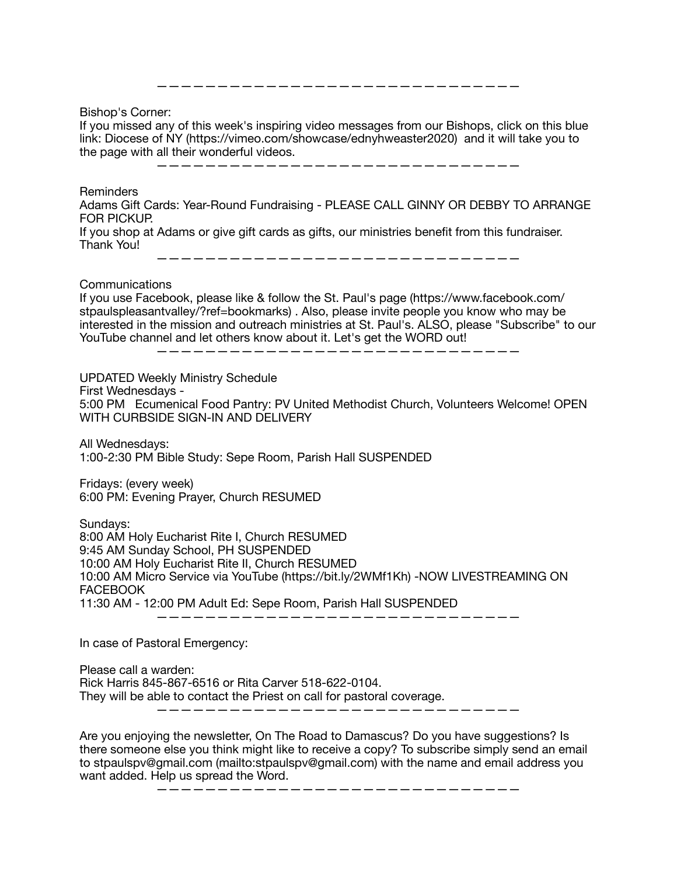Bishop's Corner:

If you missed any of this week's inspiring video messages from our Bishops, click on this blue link: Diocese of NY (https://vimeo.com/showcase/ednyhweaster2020) and it will take you to the page with all their wonderful videos.

——————————————————————————————

 $\frac{1}{2}$  , and the set of the set of the set of the set of the set of the set of the set of the set of the set of the set of the set of the set of the set of the set of the set of the set of the set of the set of the set

Reminders

Adams Gift Cards: Year-Round Fundraising - PLEASE CALL GINNY OR DEBBY TO ARRANGE FOR PICKUP.

If you shop at Adams or give gift cards as gifts, our ministries benefit from this fundraiser. Thank You!

——————————————————————————————

Communications

If you use Facebook, please like & follow the St. Paul's page (https://www.facebook.com/ stpaulspleasantvalley/?ref=bookmarks) . Also, please invite people you know who may be interested in the mission and outreach ministries at St. Paul's. ALSO, please "Subscribe" to our YouTube channel and let others know about it. Let's get the WORD out!

——————————————————————————————

UPDATED Weekly Ministry Schedule

First Wednesdays -

5:00 PM Ecumenical Food Pantry: PV United Methodist Church, Volunteers Welcome! OPEN WITH CURBSIDE SIGN-IN AND DELIVERY

All Wednesdays: 1:00-2:30 PM Bible Study: Sepe Room, Parish Hall SUSPENDED

Fridays: (every week) 6:00 PM: Evening Prayer, Church RESUMED

Sundays: 8:00 AM Holy Eucharist Rite I, Church RESUMED 9:45 AM Sunday School, PH SUSPENDED 10:00 AM Holy Eucharist Rite II, Church RESUMED 10:00 AM Micro Service via YouTube (https://bit.ly/2WMf1Kh) -NOW LIVESTREAMING ON **FACEBOOK** 11:30 AM - 12:00 PM Adult Ed: Sepe Room, Parish Hall SUSPENDED

——————————————————————————————

In case of Pastoral Emergency:

Please call a warden: Rick Harris 845-867-6516 or Rita Carver 518-622-0104. They will be able to contact the Priest on call for pastoral coverage. ——————————————————————————————

Are you enjoying the newsletter, On The Road to Damascus? Do you have suggestions? Is there someone else you think might like to receive a copy? To subscribe simply send an email to stpaulspv@gmail.com (mailto:stpaulspv@gmail.com) with the name and email address you want added. Help us spread the Word.

——————————————————————————————